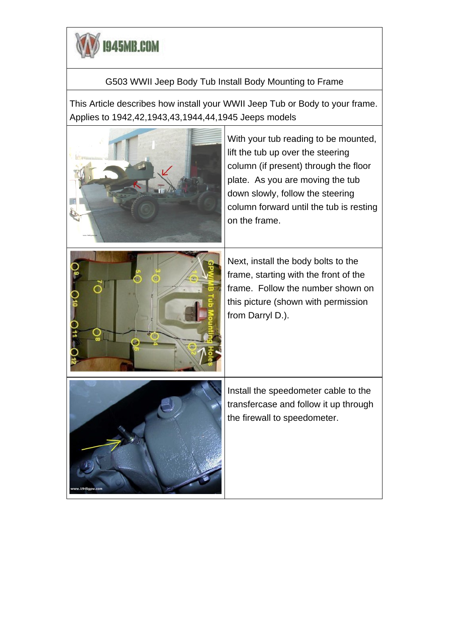

## G503 WWII Jeep Body Tub Install Body Mounting to Frame

This Article describes how install your WWII Jeep Tub or Body to your frame. Applies to 1942,42,1943,43,1944,44,1945 Jeeps models

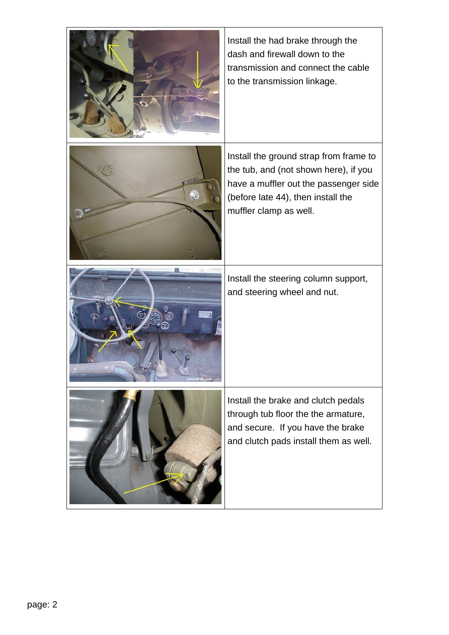| Install the had brake through the<br>dash and firewall down to the<br>transmission and connect the cable<br>to the transmission linkage.                                                 |
|------------------------------------------------------------------------------------------------------------------------------------------------------------------------------------------|
| Install the ground strap from frame to<br>the tub, and (not shown here), if you<br>have a muffler out the passenger side<br>(before late 44), then install the<br>muffler clamp as well. |
| Install the steering column support,<br>and steering wheel and nut.                                                                                                                      |
| Install the brake and clutch pedals<br>through tub floor the the armature,<br>and secure. If you have the brake<br>and clutch pads install them as well.                                 |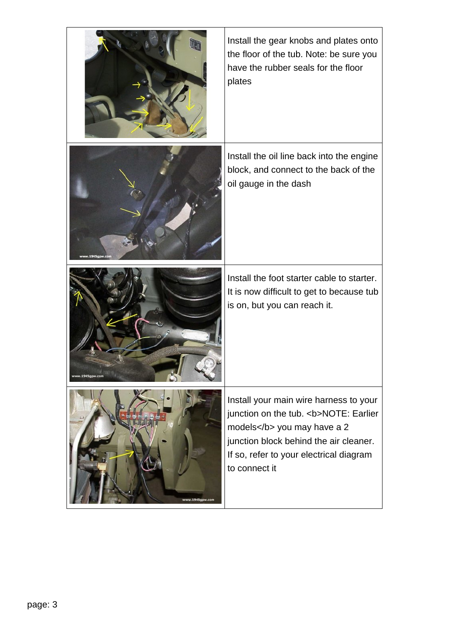|                 | Install the gear knobs and plates onto<br>the floor of the tub. Note: be sure you<br>have the rubber seals for the floor<br>plates                                                                                    |
|-----------------|-----------------------------------------------------------------------------------------------------------------------------------------------------------------------------------------------------------------------|
| rw.1945gpw.co   | Install the oil line back into the engine<br>block, and connect to the back of the<br>oil gauge in the dash                                                                                                           |
| www.1945gpw.com | Install the foot starter cable to starter.<br>It is now difficult to get to because tub<br>is on, but you can reach it.                                                                                               |
| www.1945gpw.com | Install your main wire harness to your<br>junction on the tub. <b>NOTE: Earlier<br/>models</b> you may have a 2<br>junction block behind the air cleaner.<br>If so, refer to your electrical diagram<br>to connect it |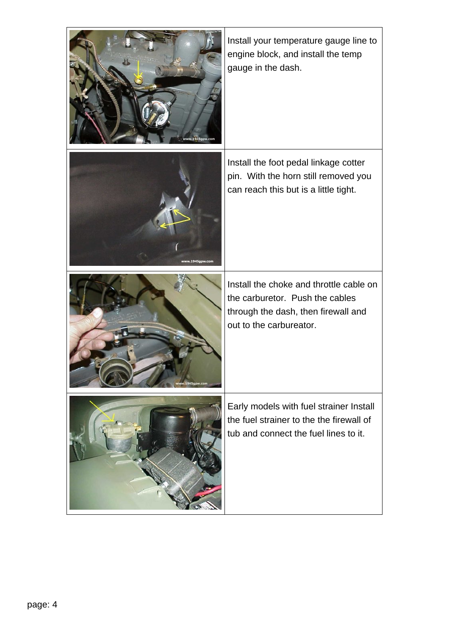| w.1945gpw.com   | Install your temperature gauge line to<br>engine block, and install the temp<br>gauge in the dash.                                           |
|-----------------|----------------------------------------------------------------------------------------------------------------------------------------------|
| www.1945gpw.com | Install the foot pedal linkage cotter<br>pin. With the horn still removed you<br>can reach this but is a little tight.                       |
| 945gpw.co       | Install the choke and throttle cable on<br>the carburetor. Push the cables<br>through the dash, then firewall and<br>out to the carbureator. |
|                 | Early models with fuel strainer Install<br>the fuel strainer to the the firewall of<br>tub and connect the fuel lines to it.                 |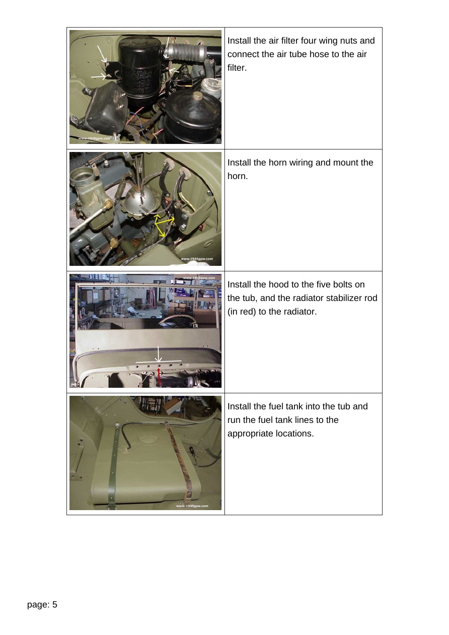|                 | Install the air filter four wing nuts and<br>connect the air tube hose to the air<br>filter.                   |
|-----------------|----------------------------------------------------------------------------------------------------------------|
|                 | Install the horn wiring and mount the<br>horn.                                                                 |
|                 | Install the hood to the five bolts on<br>the tub, and the radiator stabilizer rod<br>(in red) to the radiator. |
| www.1945gpw.com | Install the fuel tank into the tub and<br>run the fuel tank lines to the<br>appropriate locations.             |